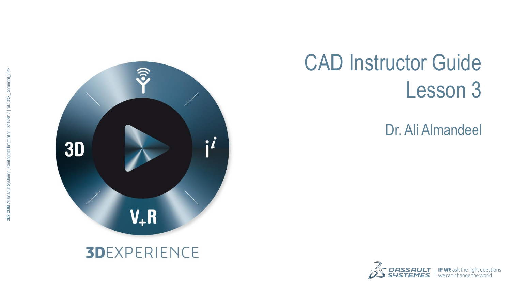

# CAD Instructor Guide Lesson 3

Dr. Ali Almandeel

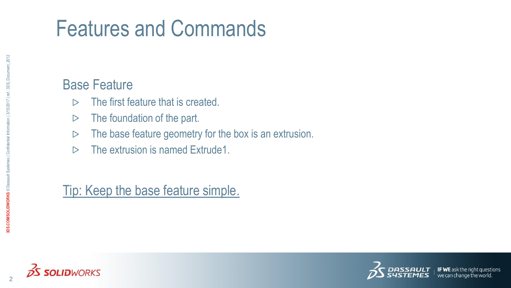# Features and Commands

#### Base Feature

- The first feature that is created.  $\triangleright$
- The foundation of the part.  $\triangleright$
- The base feature geometry for the box is an extrusion.  $\triangleright$
- The extrusion is named Extrude1.  $\triangleright$

Tip: Keep the base feature simple.



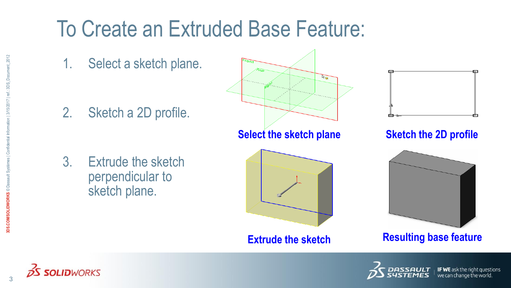# To Create an Extruded Base Feature:

1. Select a sketch plane.

2. Sketch a 2D profile.

3. Extrude the sketch perpendicular to sketch plane.





**Sketch the 2D profile**



**Extrude the sketch Resulting base feature** 



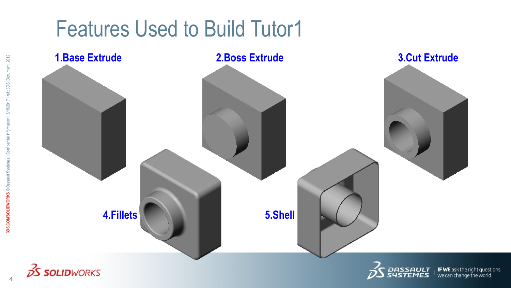### Features Used to Build Tutor1

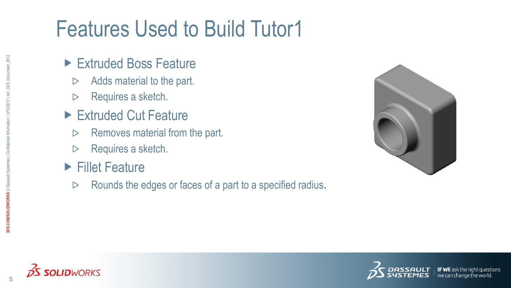# Features Used to Build Tutor1

- ► Extruded Boss Feature
	- Adds material to the part.  $\triangleright$
	- Requires a sketch.  $\triangleright$
- ► Extruded Cut Feature
	- Removes material from the part.  $\triangleright$
	- Requires a sketch.  $\triangleright$
- ▶ Fillet Feature
	- Rounds the edges or faces of a part to a specified radius**.** $\triangleright$





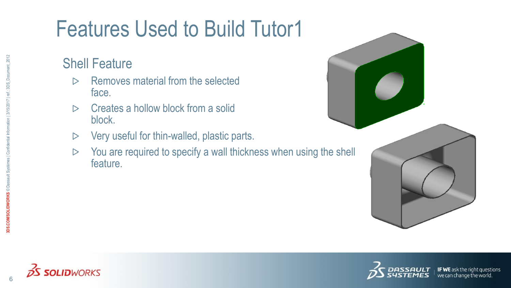# Features Used to Build Tutor1

#### Shell Feature

- Removes material from the selected  $\triangleright$ face.
- Creates a hollow block from a solid  $\triangleright$ block.
- Very useful for thin-walled, plastic parts.  $\triangleright$
- You are required to specify a wall thickness when using the shell  $\triangleright$ feature.





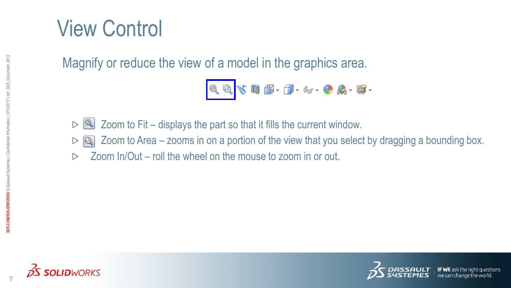### View Control

Magnify or reduce the view of a model in the graphics area.

$$
\mathbb{Q}, \mathbb{Q}, \mathbb{Q} \restriction \mathbb{Q} \restriction \mathbb{G} \restriction \mathbb{Q} \restriction \mathbb{G} \restriction \mathbb{Q} \restriction \mathbb{Q} \restriction \mathbb{Q} \restriction \mathbb{Q} \restriction \mathbb{Q}
$$

- Zoom to Fit displays the part so that it fills the current window.  $\infty$  $\triangleright$ 
	- $\Box$  Zoom to Area zooms in on a portion of the view that you select by dragging a bounding box.
- Zoom In/Out roll the wheel on the mouse to zoom in or out. $\triangleright$





7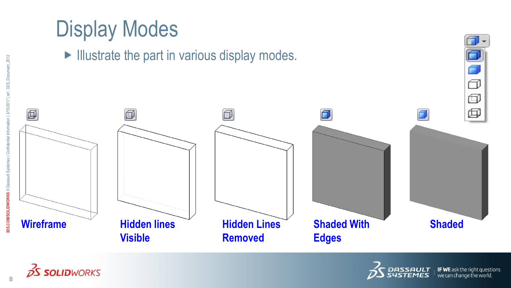# Display Modes

 $\blacktriangleright$  Illustrate the part in various display modes.



**2S SOLID**WORKS



 $\Box$ 

同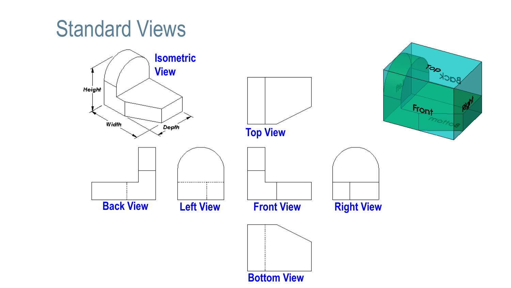### Standard Views

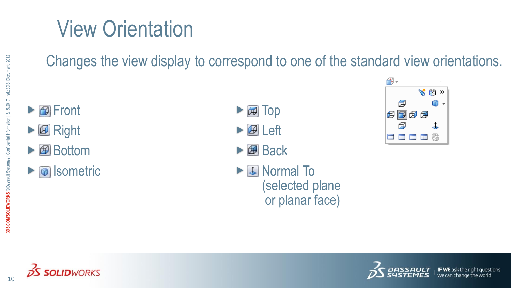# View Orientation

Changes the view display to correspond to one of the standard view orientations.

- **Front**
- $\blacktriangleright$   $\blacksquare$  Right
- ▶ **图** Bottom
- $\triangleright$   $\circledcirc$  Isometric
- $\blacktriangleright$   $\textcircled{H}$  Top
- $\blacktriangleright$   $\lbrack\!\lbrack\varnothing\rbrack\!\rbrack$  Left
- $\triangleright$   $\blacksquare$  Back
	- Normal To (selected plane or planar face)







10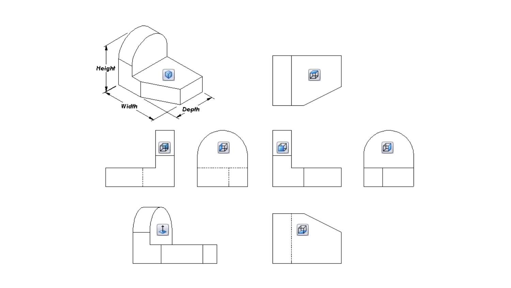













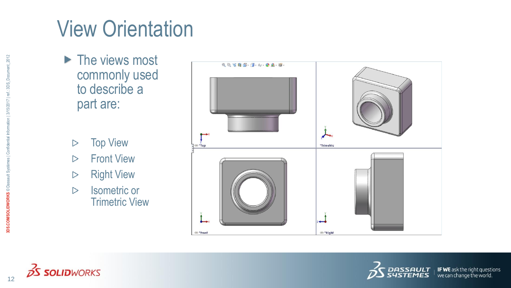# View Orientation

- ▶ The views most commonly used to describe a part are:
	- Top View  $\triangleright$
	- Front View  $\triangleright$
	- Right View  $\triangleright$
	- Isometric or  $\triangleright$ Trimetric View





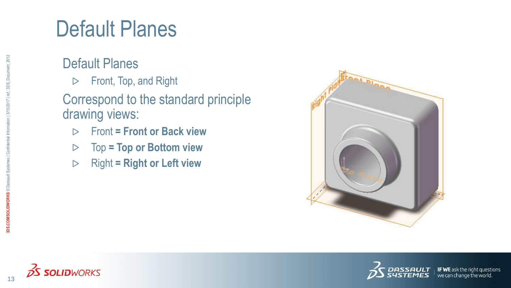### Default Planes

#### Default Planes

Front, Top, and Right  $\triangleright$ 

#### Correspond to the standard principle drawing views:

- Front **= Front or Back view**  $\triangleright$
- Top **= Top or Bottom view**  $\triangleright$
- Right **= Right or Left view** $\triangleright$







we can change the world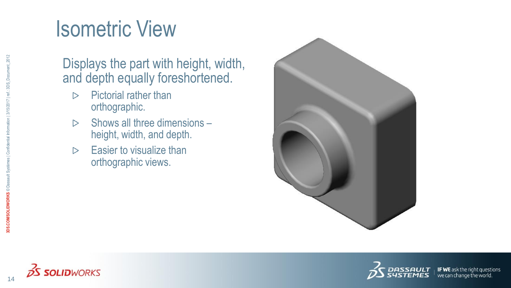# Isometric View

#### Displays the part with height, width, and depth equally foreshortened.

- Pictorial rather than  $\triangleright$ orthographic.
- Shows all three dimensions  $\triangleright$ height, width, and depth.
- Easier to visualize than  $\triangleright$ orthographic views.





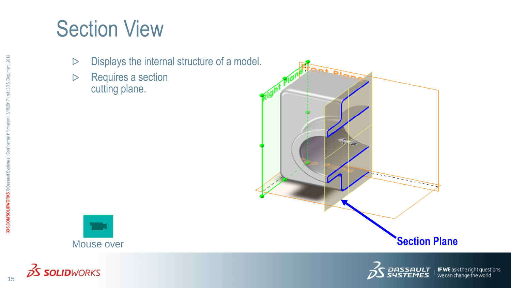## Section View

- Displays the internal structure of a model.  $\triangleright$
- Requires a section  $\triangleright$ cutting plane.





**2S SOLID**WORKS



 $\perp$  **IF WE** ask the right questions<br>  $\perp$  we can change the world.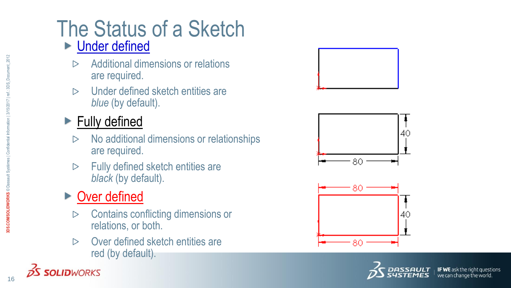### The Status of a Sketch ► Under defined

- Additional dimensions or relations  $\triangleright$ are required.
- Under defined sketch entities are  $\triangleright$ *blue* (by default).

#### ▶ Fully defined

- No additional dimensions or relationships  $\triangleright$ are required.
- Fully defined sketch entities are  $\triangleright$ *black* (by default).

#### ▶ Over defined

**SOLID**WORKS

- Contains conflicting dimensions or  $\triangleright$ relations, or both.
- Over defined sketch entities are  $\triangleright$ red (by default).







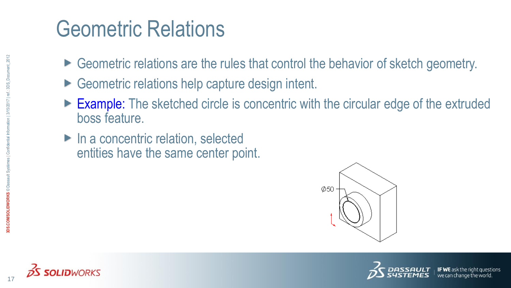# Geometric Relations

- ► Geometric relations are the rules that control the behavior of sketch geometry.
- ► Geometric relations help capture design intent.
- Example: The sketched circle is concentric with the circular edge of the extruded boss feature.
- ► In a concentric relation, selected entities have the same center point.







17